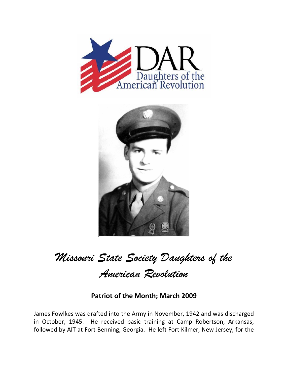



*Missouri State Society Daughters of the* 

*American Revolution* 

## **Patriot of the Month; March 2009**

James Fowlkes was drafted into the Army in November, 1942 and was discharged in October, 1945. He received basic training at Camp Robertson, Arkansas, followed by AIT at Fort Benning, Georgia. He left Fort Kilmer, New Jersey, for the